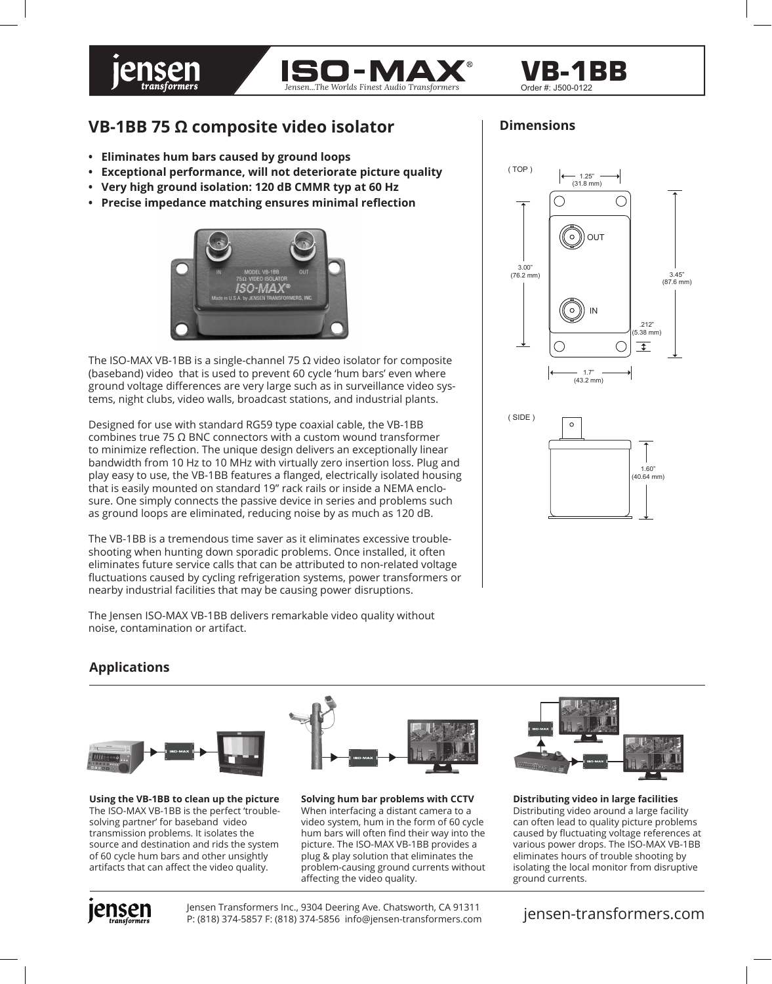



### Order #: J500-0122 **VB-1BB**

# **VB-1BB 75 Ω composite video isolator**

- **Eliminates hum bars caused by ground loops**
- **Exceptional performance, will not deteriorate picture quality**
- **Very high ground isolation: 120 dB CMMR typ at 60 Hz**
- **Precise impedance matching ensures minimal reflection**



The ISO-MAX VB-1BB is a single-channel 75  $\Omega$  video isolator for composite (baseband) video that is used to prevent 60 cycle 'hum bars' even where ground voltage differences are very large such as in surveillance video systems, night clubs, video walls, broadcast stations, and industrial plants.

Designed for use with standard RG59 type coaxial cable, the VB-1BB combines true 75 Ω BNC connectors with a custom wound transformer to minimize reflection. The unique design delivers an exceptionally linear bandwidth from 10 Hz to 10 MHz with virtually zero insertion loss. Plug and play easy to use, the VB-1BB features a flanged, electrically isolated housing that is easily mounted on standard 19" rack rails or inside a NEMA enclosure. One simply connects the passive device in series and problems such as ground loops are eliminated, reducing noise by as much as 120 dB.

The VB-1BB is a tremendous time saver as it eliminates excessive troubleshooting when hunting down sporadic problems. Once installed, it often eliminates future service calls that can be attributed to non-related voltage fluctuations caused by cycling refrigeration systems, power transformers or nearby industrial facilities that may be causing power disruptions.

The Jensen ISO-MAX VB-1BB delivers remarkable video quality without noise, contamination or artifact.

## **Dimensions**





## **Applications**



**Using the VB-1BB to clean up the picture** The ISO-MAX VB-1BB is the perfect 'troublesolving partner' for baseband video transmission problems. It isolates the source and destination and rids the system of 60 cycle hum bars and other unsightly artifacts that can affect the video quality.



**Solving hum bar problems with CCTV** When interfacing a distant camera to a video system, hum in the form of 60 cycle hum bars will often find their way into the picture. The ISO-MAX VB-1BB provides a plug & play solution that eliminates the problem-causing ground currents without affecting the video quality.



**Distributing video in large facilities** Distributing video around a large facility can often lead to quality picture problems caused by fluctuating voltage references at various power drops. The ISO-MAX VB-1BB eliminates hours of trouble shooting by isolating the local monitor from disruptive ground currents.



Jensen Transformers Inc., 9304 Deering Ave. Chatsworth, CA 91311 P: (818) 374-5857 F: (818) 374-5856 info@jensen-transformers.com jensen-transformers.com